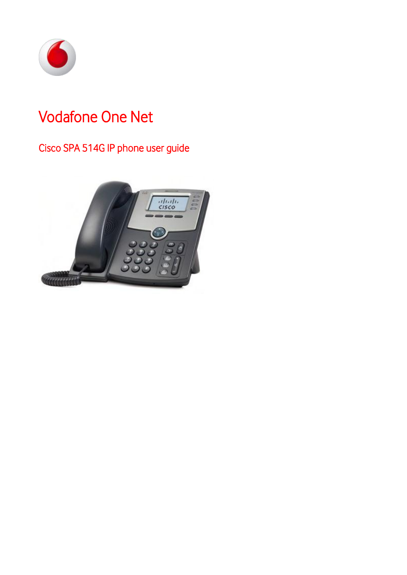

# Vodafone One Net

# Cisco SPA 514G IP phone user guide

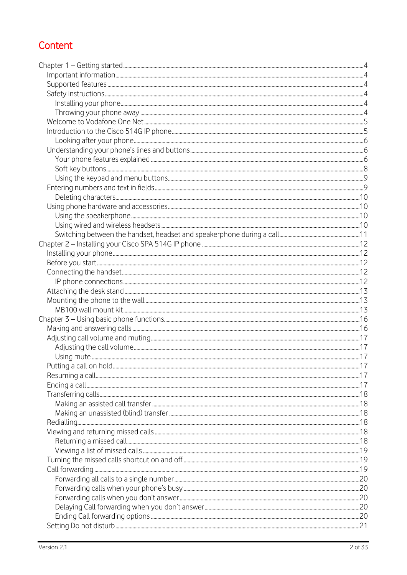# Content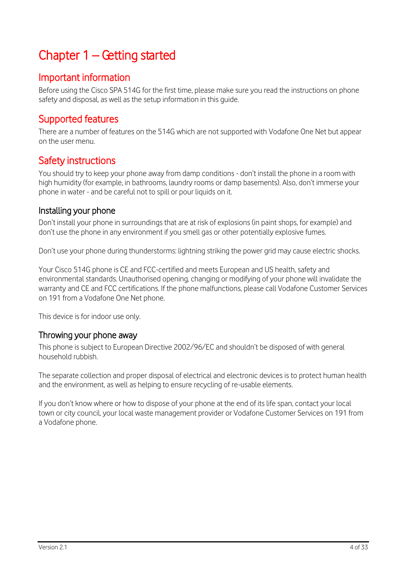# <span id="page-3-0"></span>Chapter 1 – Getting started

# <span id="page-3-1"></span>Important information

Before using the Cisco SPA 514G for the first time, please make sure you read the instructions on phone safety and disposal, as well as the setup information in this guide.

# <span id="page-3-2"></span>Supported features

There are a number of features on the 514G which are not supported with Vodafone One Net but appear on the user menu.

# <span id="page-3-3"></span>Safety instructions

You should try to keep your phone away from damp conditions - don't install the phone in a room with high humidity (for example, in bathrooms, laundry rooms or damp basements). Also, don't immerse your phone in water - and be careful not to spill or pour liquids on it.

#### <span id="page-3-4"></span>Installing your phone

Don't install your phone in surroundings that are at risk of explosions (in paint shops, for example) and don't use the phone in any environment if you smell gas or other potentially explosive fumes.

Don't use your phone during thunderstorms: lightning striking the power grid may cause electric shocks.

Your Cisco 514G phone is CE and FCC-certified and meets European and US health, safety and environmental standards. Unauthorised opening, changing or modifying of your phone will invalidate the warranty and CE and FCC certifications. If the phone malfunctions, please call Vodafone Customer Services on 191 from a Vodafone One Net phone.

This device is for indoor use only.

#### <span id="page-3-5"></span>Throwing your phone away

This phone is subject to European Directive 2002/96/EC and shouldn't be disposed of with general household rubbish.

The separate collection and proper disposal of electrical and electronic devices is to protect human health and the environment, as well as helping to ensure recycling of re-usable elements.

If you don't know where or how to dispose of your phone at the end of its life span, contact your local town or city council, your local waste management provider or Vodafone Customer Services on 191 from a Vodafone phone.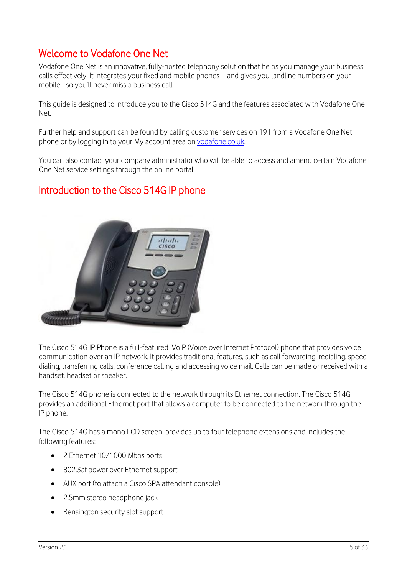# <span id="page-4-0"></span>Welcome to Vodafone One Net

Vodafone One Net is an innovative, fully-hosted telephony solution that helps you manage your business calls effectively. It integrates your fixed and mobile phones – and gives you landline numbers on your mobile - so you'll never miss a business call.

This guide is designed to introduce you to the Cisco 514G and the features associated with Vodafone One Net.

Further help and support can be found by calling customer services on 191 from a Vodafone One Net phone or by logging in to your My account area on [vodafone.co.uk.](http://www.vodafone.co.uk/)

You can also contact your company administrator who will be able to access and amend certain Vodafone One Net service settings through the online portal.

# <span id="page-4-1"></span>Introduction to the Cisco 514G IP phone



The Cisco 514G IP Phone is a full-featured VoIP (Voice over Internet Protocol) phone that provides voice communication over an IP network. It provides traditional features, such as call forwarding, redialing, speed dialing, transferring calls, conference calling and accessing voice mail. Calls can be made or received with a handset, headset or speaker.

The Cisco 514G phone is connected to the network through its Ethernet connection. The Cisco 514G provides an additional Ethernet port that allows a computer to be connected to the network through the IP phone.

The Cisco 514G has a mono LCD screen, provides up to four telephone extensions and includes the following features:

- 2 Ethernet 10/1000 Mbps ports
- 802.3af power over Ethernet support
- AUX port (to attach a Cisco SPA attendant console)
- 2.5mm stereo headphone jack
- Kensington security slot support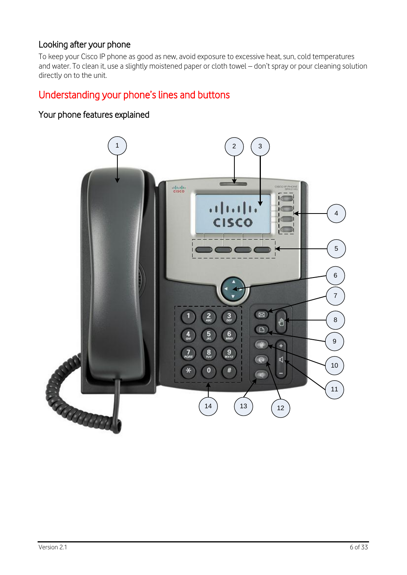# <span id="page-5-0"></span>Looking after your phone

To keep your Cisco IP phone as good as new, avoid exposure to excessive heat, sun, cold temperatures and water. To clean it, use a slightly moistened paper or cloth towel – don't spray or pour cleaning solution directly on to the unit.

# <span id="page-5-1"></span>Understanding your phone's lines and buttons

## <span id="page-5-2"></span>Your phone features explained

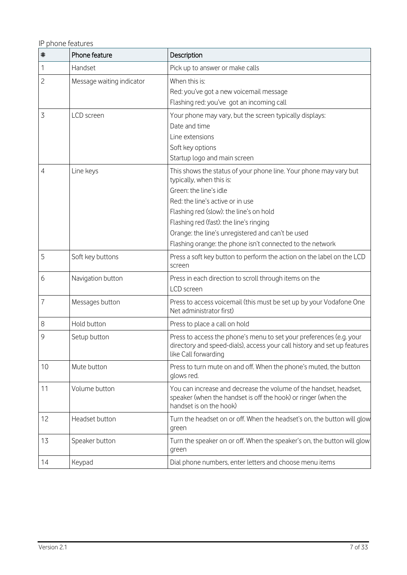IP phone features

| $\ddagger$     | Phone feature             | Description                                                                                                                                                                                                                                                                                                                                                         |
|----------------|---------------------------|---------------------------------------------------------------------------------------------------------------------------------------------------------------------------------------------------------------------------------------------------------------------------------------------------------------------------------------------------------------------|
| 1              | Handset                   | Pick up to answer or make calls                                                                                                                                                                                                                                                                                                                                     |
| $\overline{c}$ | Message waiting indicator | When this is:<br>Red: you've got a new voicemail message<br>Flashing red: you've got an incoming call                                                                                                                                                                                                                                                               |
| 3              | LCD screen                | Your phone may vary, but the screen typically displays:<br>Date and time<br>Line extensions<br>Soft key options<br>Startup logo and main screen                                                                                                                                                                                                                     |
| 4              | Line keys                 | This shows the status of your phone line. Your phone may vary but<br>typically, when this is:<br>Green: the line's idle<br>Red: the line's active or in use<br>Flashing red (slow): the line's on hold<br>Flashing red (fast): the line's ringing<br>Orange: the line's unregistered and can't be used<br>Flashing orange: the phone isn't connected to the network |
| 5              | Soft key buttons          | Press a soft key button to perform the action on the label on the LCD<br>screen                                                                                                                                                                                                                                                                                     |
| 6              | Navigation button         | Press in each direction to scroll through items on the<br>LCD screen                                                                                                                                                                                                                                                                                                |
| 7              | Messages button           | Press to access voicemail (this must be set up by your Vodafone One<br>Net administrator first)                                                                                                                                                                                                                                                                     |
| 8              | Hold button               | Press to place a call on hold                                                                                                                                                                                                                                                                                                                                       |
| 9              | Setup button              | Press to access the phone's menu to set your preferences (e.g. your<br>directory and speed-dials), access your call history and set up features<br>like Call forwarding                                                                                                                                                                                             |
| 10             | Mute button               | Press to turn mute on and off. When the phone's muted, the button<br>glows red.                                                                                                                                                                                                                                                                                     |
| 11             | Volume button             | You can increase and decrease the volume of the handset, headset,<br>speaker (when the handset is off the hook) or ringer (when the<br>handset is on the hook)                                                                                                                                                                                                      |
| 12             | Headset button            | Turn the headset on or off. When the headset's on, the button will glow<br>green                                                                                                                                                                                                                                                                                    |
| 13             | Speaker button            | Turn the speaker on or off. When the speaker's on, the button will glow<br>green                                                                                                                                                                                                                                                                                    |
| 14             | Keypad                    | Dial phone numbers, enter letters and choose menu items                                                                                                                                                                                                                                                                                                             |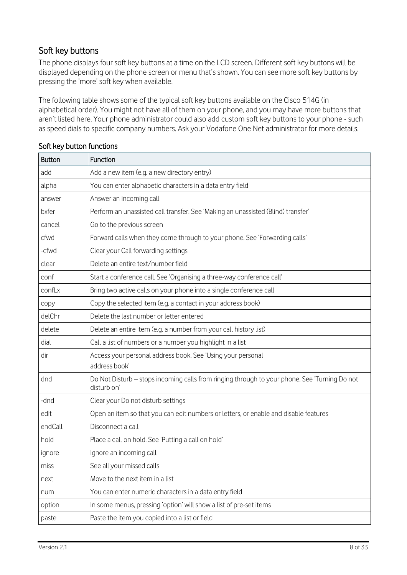## <span id="page-7-0"></span>Soft key buttons

The phone displays four soft key buttons at a time on the LCD screen. Different soft key buttons will be displayed depending on the phone screen or menu that's shown. You can see more soft key buttons by pressing the 'more' soft key when available.

The following table shows some of the typical soft key buttons available on the Cisco 514G (in alphabetical order). You might not have all of them on your phone, and you may have more buttons that aren't listed here. Your phone administrator could also add custom soft key buttons to your phone - such as speed dials to specific company numbers. Ask your Vodafone One Net administrator for more details.

| <b>Button</b> | Function                                                                                                     |
|---------------|--------------------------------------------------------------------------------------------------------------|
| add           | Add a new item (e.g. a new directory entry)                                                                  |
| alpha         | You can enter alphabetic characters in a data entry field                                                    |
| answer        | Answer an incoming call                                                                                      |
| bxfer         | Perform an unassisted call transfer. See 'Making an unassisted (Blind) transfer'                             |
| cancel        | Go to the previous screen                                                                                    |
| cfwd          | Forward calls when they come through to your phone. See 'Forwarding calls'                                   |
| -cfwd         | Clear your Call forwarding settings                                                                          |
| clear         | Delete an entire text/number field                                                                           |
| conf          | Start a conference call. See 'Organising a three-way conference call'                                        |
| confLx        | Bring two active calls on your phone into a single conference call                                           |
| copy          | Copy the selected item (e.g. a contact in your address book)                                                 |
| delChr        | Delete the last number or letter entered                                                                     |
| delete        | Delete an entire item (e.g. a number from your call history list)                                            |
| dial          | Call a list of numbers or a number you highlight in a list                                                   |
| dir           | Access your personal address book. See 'Using your personal<br>address book'                                 |
| dnd           | Do Not Disturb - stops incoming calls from ringing through to your phone. See 'Turning Do not<br>disturb on' |
| -dnd          | Clear your Do not disturb settings                                                                           |
| edit          | Open an item so that you can edit numbers or letters, or enable and disable features                         |
| endCall       | Disconnect a call                                                                                            |
| hold          | Place a call on hold. See 'Putting a call on hold'                                                           |
| ignore        | Ignore an incoming call                                                                                      |
| miss          | See all your missed calls                                                                                    |
| next          | Move to the next item in a list                                                                              |
| num           | You can enter numeric characters in a data entry field                                                       |
| option        | In some menus, pressing 'option' will show a list of pre-set items                                           |
| paste         | Paste the item you copied into a list or field                                                               |

#### Soft key button functions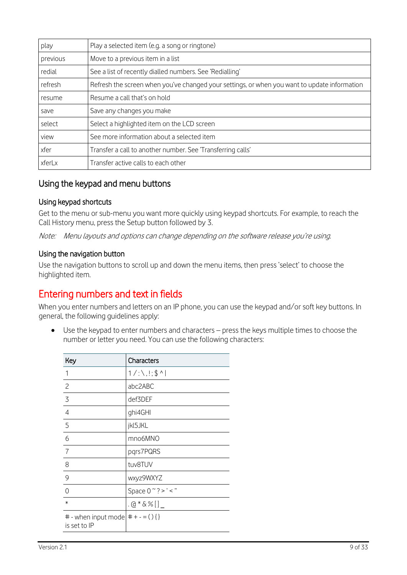| play     | Play a selected item (e.g. a song or ringtone)                                               |
|----------|----------------------------------------------------------------------------------------------|
| previous | Move to a previous item in a list                                                            |
| redial   | See a list of recently dialled numbers. See 'Redialling'                                     |
| refresh  | Refresh the screen when you've changed your settings, or when you want to update information |
| resume   | Resume a call that's on hold                                                                 |
| save     | Save any changes you make                                                                    |
| select   | Select a highlighted item on the LCD screen                                                  |
| view     | See more information about a selected item                                                   |
| xfer     | Transfer a call to another number. See 'Transferring calls'                                  |
| xferLx   | Transfer active calls to each other                                                          |

### <span id="page-8-0"></span>Using the keypad and menu buttons

#### Using keypad shortcuts

Get to the menu or sub-menu you want more quickly using keypad shortcuts. For example, to reach the Call History menu, press the Setup button followed by 3.

Note: Menu layouts and options can change depending on the software release you're using.

#### Using the navigation button

Use the navigation buttons to scroll up and down the menu items, then press 'select' to choose the highlighted item.

# <span id="page-8-1"></span>Entering numbers and text in fields

When you enter numbers and letters on an IP phone, you can use the keypad and/or soft key buttons. In general, the following guidelines apply:

 Use the keypad to enter numbers and characters – press the keys multiple times to choose the number or letter you need. You can use the following characters:

| Key                                                   | Characters                  |
|-------------------------------------------------------|-----------------------------|
| 1                                                     | $1/$ :\,!;\$^               |
| $\overline{c}$                                        | abc2ABC                     |
| 3                                                     | def3DEF                     |
| $\overline{4}$                                        | ghi4GHI                     |
| 5                                                     | jkl5JKL                     |
| 6                                                     | mno6MNO                     |
| $\overline{7}$                                        | pqrs7PQRS                   |
| 8                                                     | tuv8TUV                     |
| 9                                                     | wxyz9WXYZ                   |
| $\Omega$                                              | Space $0 \degree$ ? > ' < " |
| $\ast$                                                | .@*&%[]                     |
| # - when input mode $\#$ + - = () { }<br>is set to IP |                             |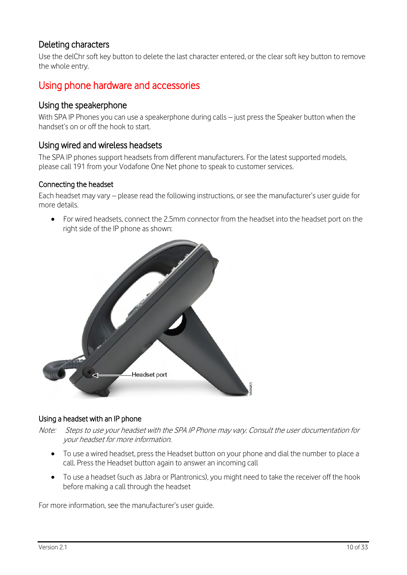### <span id="page-9-0"></span>Deleting characters

Use the delChr soft key button to delete the last character entered, or the clear soft key button to remove the whole entry.

# <span id="page-9-1"></span>Using phone hardware and accessories

#### <span id="page-9-2"></span>Using the speakerphone

With SPA IP Phones you can use a speakerphone during calls – just press the Speaker button when the handset's on or off the hook to start.

#### <span id="page-9-3"></span>Using wired and wireless headsets

The SPA IP phones support headsets from different manufacturers. For the latest supported models, please call 191 from your Vodafone One Net phone to speak to customer services.

#### Connecting the headset

Each headset may vary – please read the following instructions, or see the manufacturer's user guide for more details.

 For wired headsets, connect the 2.5mm connector from the headset into the headset port on the right side of the IP phone as shown:



#### Using a headset with an IP phone

- Note: Steps to use your headset with the SPA IP Phone may vary. Consult the user documentation for your headset for more information.
	- To use a wired headset, press the Headset button on your phone and dial the number to place a call. Press the Headset button again to answer an incoming call
	- To use a headset (such as Jabra or Plantronics), you might need to take the receiver off the hook before making a call through the headset

For more information, see the manufacturer's user guide.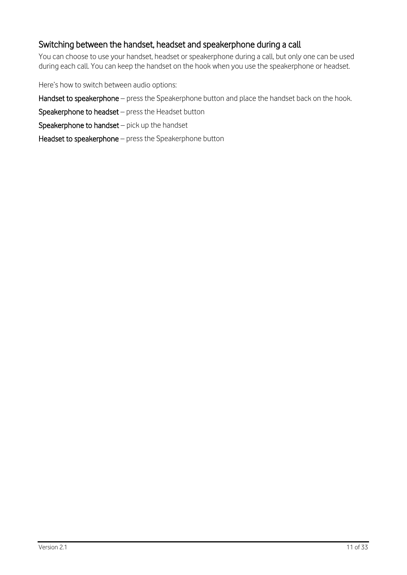## <span id="page-10-0"></span>Switching between the handset, headset and speakerphone during a call

You can choose to use your handset, headset or speakerphone during a call, but only one can be used during each call. You can keep the handset on the hook when you use the speakerphone or headset.

Here's how to switch between audio options:

Handset to speakerphone – press the Speakerphone button and place the handset back on the hook.

Speakerphone to headset – press the Headset button

Speakerphone to handset – pick up the handset

Headset to speakerphone – press the Speakerphone button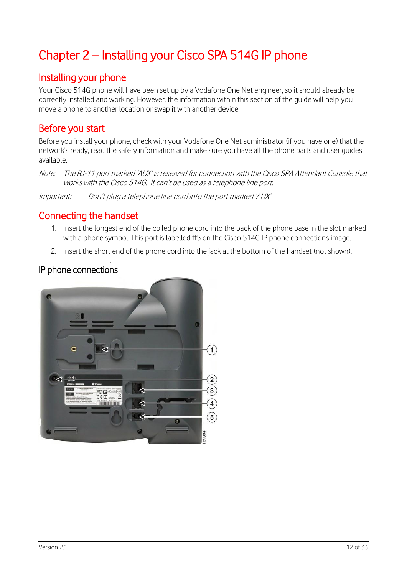# <span id="page-11-0"></span>Chapter 2 – Installing your Cisco SPA 514G IP phone

# <span id="page-11-1"></span>Installing your phone

Your Cisco 514G phone will have been set up by a Vodafone One Net engineer, so it should already be correctly installed and working. However, the information within this section of the guide will help you move a phone to another location or swap it with another device.

# <span id="page-11-2"></span>Before you start

Before you install your phone, check with your Vodafone One Net administrator (if you have one) that the network's ready, read the safety information and make sure you have all the phone parts and user guides available.

Note: The RJ-11 port marked 'AUX' is reserved for connection with the Cisco SPA Attendant Console that works with the Cisco 514G. It can't be used as a telephone line port.

Important: Don't plug a telephone line cord into the port marked 'AUX'

# <span id="page-11-3"></span>Connecting the handset

- 1. Insert the longest end of the coiled phone cord into the back of the phone base in the slot marked with a phone symbol. This port is labelled #5 on the Cisco 514G IP phone connections image.
- 2. Insert the short end of the phone cord into the jack at the bottom of the handset (not shown).

## <span id="page-11-4"></span>IP phone connections

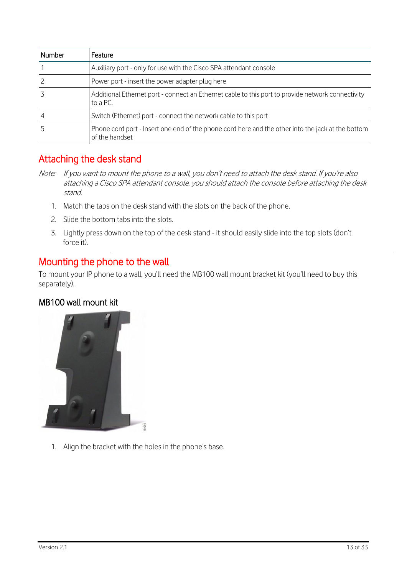| <b>Number</b> | Feature                                                                                                             |
|---------------|---------------------------------------------------------------------------------------------------------------------|
|               | Auxiliary port - only for use with the Cisco SPA attendant console                                                  |
|               | Power port - insert the power adapter plug here                                                                     |
|               | Additional Ethernet port - connect an Ethernet cable to this port to provide network connectivity<br>to a PC.       |
|               | Switch (Ethernet) port - connect the network cable to this port                                                     |
|               | Phone cord port - Insert one end of the phone cord here and the other into the jack at the bottom<br>of the handset |

# <span id="page-12-0"></span>Attaching the desk stand

- Note: If you want to mount the phone to a wall, you don't need to attach the desk stand. If you're also attaching a Cisco SPA attendant console, you should attach the console before attaching the desk stand.
	- 1. Match the tabs on the desk stand with the slots on the back of the phone.
	- 2. Slide the bottom tabs into the slots.
	- 3. Lightly press down on the top of the desk stand it should easily slide into the top slots (don't force it).

# <span id="page-12-1"></span>Mounting the phone to the wall

To mount your IP phone to a wall, you'll need the MB100 wall mount bracket kit (you'll need to buy this separately).

#### <span id="page-12-2"></span>MB100 wall mount kit



1. Align the bracket with the holes in the phone's base.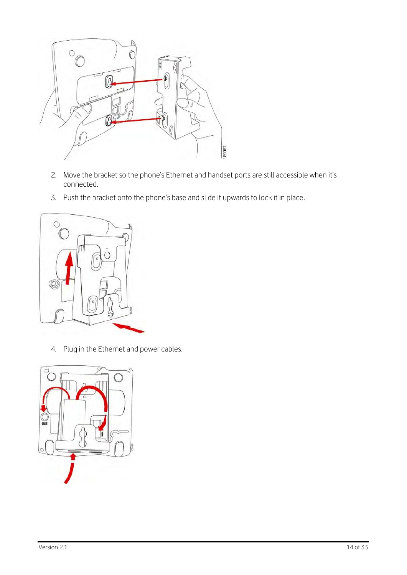

- 2. Move the bracket so the phone's Ethernet and handset ports are still accessible when it's connected.
- 3. Push the bracket onto the phone's base and slide it upwards to lock it in place.



4. Plug in the Ethernet and power cables.

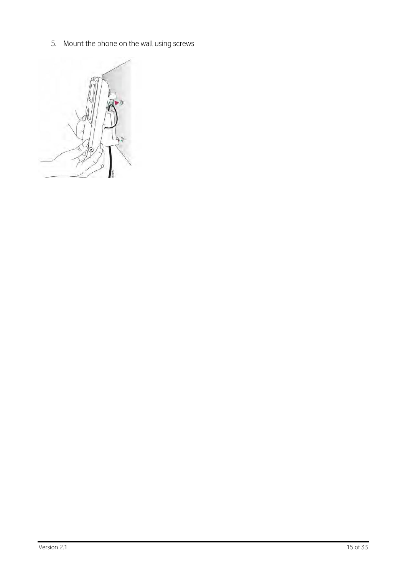5. Mount the phone on the wall using screws

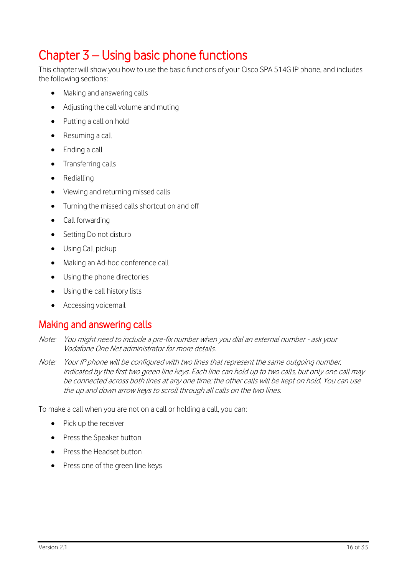# <span id="page-15-0"></span>Chapter 3 – Using basic phone functions

This chapter will show you how to use the basic functions of your Cisco SPA 514G IP phone, and includes the following sections:

- Making and answering calls
- Adjusting the call volume and muting
- Putting a call on hold
- Resuming a call
- Ending a call
- Transferring calls
- Redialling
- Viewing and returning missed calls
- Turning the missed calls shortcut on and off
- Call forwarding
- Setting Do not disturb
- Using Call pickup
- Making an Ad-hoc conference call
- Using the phone directories
- Using the call history lists
- Accessing voicemail

# <span id="page-15-1"></span>Making and answering calls

- Note: You might need to include a pre-fix number when you dial an external number ask your Vodafone One Net administrator for more details.
- Note: Your IP phone will be configured with two lines that represent the same outgoing number, indicated by the first two green line keys. Each line can hold up to two calls, but only one call may be connected across both lines at any one time; the other calls will be kept on hold. You can use the up and down arrow keys to scroll through all calls on the two lines.

To make a call when you are not on a call or holding a call, you can:

- Pick up the receiver
- Press the Speaker button
- Press the Headset button
- Press one of the green line keys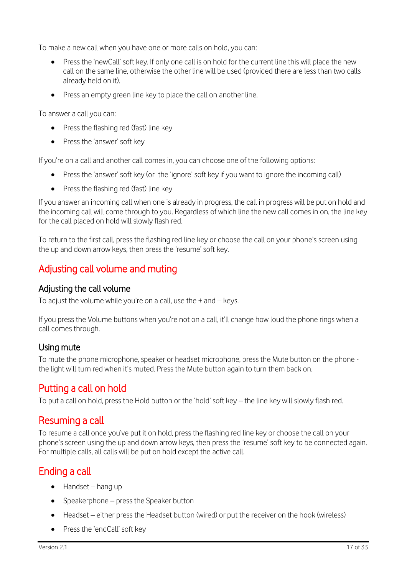To make a new call when you have one or more calls on hold, you can:

- Press the 'newCall' soft key. If only one call is on hold for the current line this will place the new call on the same line, otherwise the other line will be used (provided there are less than two calls already held on it).
- Press an empty green line key to place the call on another line.

To answer a call you can:

- Press the flashing red (fast) line key
- Press the 'answer' soft key

If you're on a call and another call comes in, you can choose one of the following options:

- Press the 'answer' soft key (or the 'ignore' soft key if you want to ignore the incoming call)
- Press the flashing red (fast) line key

If you answer an incoming call when one is already in progress, the call in progress will be put on hold and the incoming call will come through to you. Regardless of which line the new call comes in on, the line key for the call placed on hold will slowly flash red.

To return to the first call, press the flashing red line key or choose the call on your phone's screen using the up and down arrow keys, then press the 'resume' soft key.

# <span id="page-16-0"></span>Adjusting call volume and muting

#### <span id="page-16-1"></span>Adjusting the call volume

To adjust the volume while you're on a call, use the  $+$  and  $-$  keys.

If you press the Volume buttons when you're not on a call, it'll change how loud the phone rings when a call comes through.

## <span id="page-16-2"></span>Using mute

To mute the phone microphone, speaker or headset microphone, press the Mute button on the phone the light will turn red when it's muted. Press the Mute button again to turn them back on.

# <span id="page-16-3"></span>Putting a call on hold

To put a call on hold, press the Hold button or the 'hold' soft key – the line key will slowly flash red.

# <span id="page-16-4"></span>Resuming a call

To resume a call once you've put it on hold, press the flashing red line key or choose the call on your phone's screen using the up and down arrow keys, then press the 'resume' soft key to be connected again. For multiple calls, all calls will be put on hold except the active call.

# <span id="page-16-5"></span>Ending a call

- $\bullet$  Handset hang up
- Speakerphone press the Speaker button
- Headset either press the Headset button (wired) or put the receiver on the hook (wireless)
- Press the 'endCall' soft key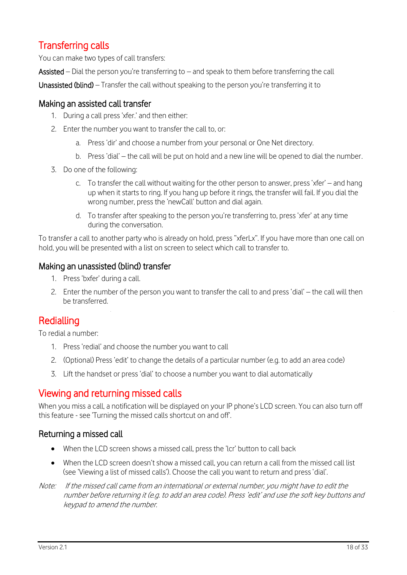# <span id="page-17-0"></span>Transferring calls

You can make two types of call transfers:

Assisted – Dial the person you're transferring to – and speak to them before transferring the call

Unassisted (blind) – Transfer the call without speaking to the person you're transferring it to

#### <span id="page-17-1"></span>Making an assisted call transfer

- 1. During a call press 'xfer.' and then either:
- 2. Enter the number you want to transfer the call to, or:
	- a. Press 'dir' and choose a number from your personal or One Net directory.
	- b. Press 'dial' the call will be put on hold and a new line will be opened to dial the number.
- 3. Do one of the following:
	- c. To transfer the call without waiting for the other person to answer, press 'xfer' and hang up when it starts to ring. If you hang up before it rings, the transfer will fail. If you dial the wrong number, press the 'newCall' button and dial again.
	- d. To transfer after speaking to the person you're transferring to, press 'xfer' at any time during the conversation.

To transfer a call to another party who is already on hold, press "xferLx". If you have more than one call on hold, you will be presented with a list on screen to select which call to transfer to.

#### <span id="page-17-2"></span>Making an unassisted (blind) transfer

- 1. Press 'bxfer' during a call.
- 2. Enter the number of the person you want to transfer the call to and press 'dial' the call will then be transferred.

## <span id="page-17-3"></span>Redialling

To redial a number:

- 1. Press 'redial' and choose the number you want to call
- 2. (Optional) Press 'edit' to change the details of a particular number (e.g. to add an area code)
- 3. Lift the handset or press 'dial' to choose a number you want to dial automatically

## <span id="page-17-4"></span>Viewing and returning missed calls

When you miss a call, a notification will be displayed on your IP phone's LCD screen. You can also turn off this feature - see 'Turning the missed calls shortcut on and off'.

#### <span id="page-17-5"></span>Returning a missed call

- When the LCD screen shows a missed call, press the 'lcr' button to call back
- When the LCD screen doesn't show a missed call, you can return a call from the missed call list (see 'Viewing a list of missed calls'). Choose the call you want to return and press 'dial'.
- Note: If the missed call came from an international or external number, you might have to edit the number before returning it (e.g. to add an area code). Press 'edit' and use the soft key buttons and keypad to amend the number.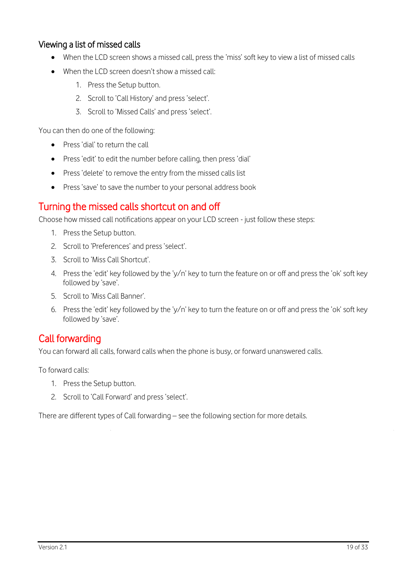### <span id="page-18-0"></span>Viewing a list of missed calls

- When the LCD screen shows a missed call, press the 'miss' soft key to view a list of missed calls
- When the LCD screen doesn't show a missed call:
	- 1. Press the Setup button.
	- 2. Scroll to 'Call History' and press 'select'.
	- 3. Scroll to 'Missed Calls' and press 'select'.

You can then do one of the following:

- Press 'dial' to return the call
- Press 'edit' to edit the number before calling, then press 'dial'
- Press 'delete' to remove the entry from the missed calls list
- Press 'save' to save the number to your personal address book

# <span id="page-18-1"></span>Turning the missed calls shortcut on and off

Choose how missed call notifications appear on your LCD screen - just follow these steps:

- 1. Press the Setup button.
- 2. Scroll to 'Preferences' and press 'select'.
- 3. Scroll to 'Miss Call Shortcut'.
- 4. Press the 'edit' key followed by the 'y/n' key to turn the feature on or off and press the 'ok' soft key followed by 'save'.
- 5. Scroll to 'Miss Call Banner'.
- 6. Press the 'edit' key followed by the 'y/n' key to turn the feature on or off and press the 'ok' soft key followed by 'save'.

# <span id="page-18-2"></span>Call forwarding

You can forward all calls, forward calls when the phone is busy, or forward unanswered calls.

To forward calls:

- 1. Press the Setup button.
- 2. Scroll to 'Call Forward' and press 'select'.

There are different types of Call forwarding – see the following section for more details.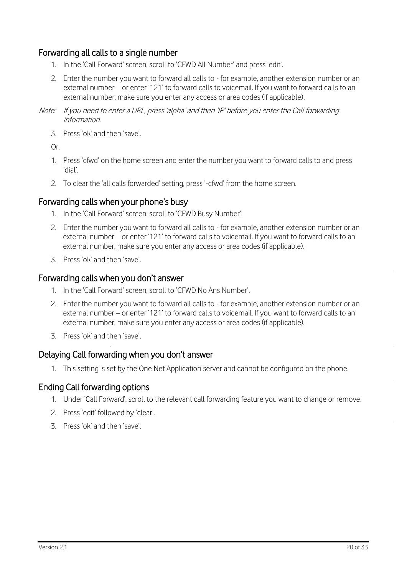### <span id="page-19-0"></span>Forwarding all calls to a single number

- 1. In the 'Call Forward' screen, scroll to 'CFWD All Number' and press 'edit'.
- 2. Enter the number you want to forward all calls to for example, another extension number or an external number – or enter '121' to forward calls to voicemail. If you want to forward calls to an external number, make sure you enter any access or area codes (if applicable).
- Note: If you need to enter a URL, press 'alpha' and then 'IP' before you enter the Call forwarding information.
	- 3. Press 'ok' and then 'save'.

Or.

- 1. Press 'cfwd' on the home screen and enter the number you want to forward calls to and press 'dial'.
- 2. To clear the 'all calls forwarded' setting, press '-cfwd' from the home screen.

#### <span id="page-19-1"></span>Forwarding calls when your phone's busy

- 1. In the 'Call Forward' screen, scroll to 'CFWD Busy Number'.
- 2. Enter the number you want to forward all calls to for example, another extension number or an external number – or enter '121' to forward calls to voicemail. If you want to forward calls to an external number, make sure you enter any access or area codes (if applicable).
- 3. Press 'ok' and then 'save'.

#### <span id="page-19-2"></span>Forwarding calls when you don't answer

- 1. In the 'Call Forward' screen, scroll to 'CFWD No Ans Number'.
- 2. Enter the number you want to forward all calls to for example, another extension number or an external number – or enter '121' to forward calls to voicemail. If you want to forward calls to an external number, make sure you enter any access or area codes (if applicable).
- 3. Press 'ok' and then 'save'.

#### <span id="page-19-3"></span>Delaying Call forwarding when you don't answer

1. This setting is set by the One Net Application server and cannot be configured on the phone.

#### <span id="page-19-4"></span>Ending Call forwarding options

- 1. Under 'Call Forward', scroll to the relevant call forwarding feature you want to change or remove.
- 2. Press 'edit' followed by 'clear'.
- 3. Press 'ok' and then 'save'.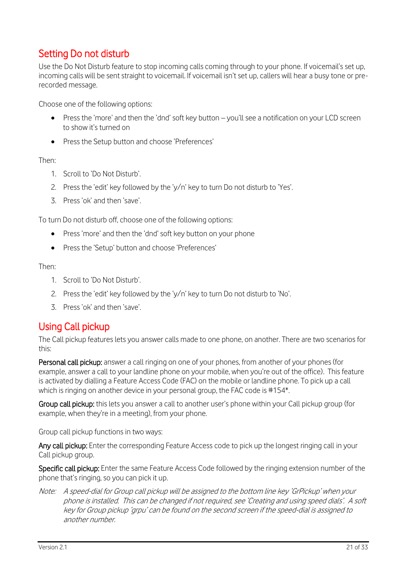# <span id="page-20-0"></span>Setting Do not disturb

Use the Do Not Disturb feature to stop incoming calls coming through to your phone. If voicemail's set up, incoming calls will be sent straight to voicemail. If voicemail isn't set up, callers will hear a busy tone or prerecorded message.

Choose one of the following options:

- Press the 'more' and then the 'dnd' soft key button you'll see a notification on your LCD screen to show it's turned on
- Press the Setup button and choose 'Preferences'

Then:

- 1. Scroll to 'Do Not Disturb'.
- 2. Press the 'edit' key followed by the 'y/n' key to turn Do not disturb to 'Yes'.
- 3. Press 'ok' and then 'save'.

To turn Do not disturb off, choose one of the following options:

- Press 'more' and then the 'dnd' soft key button on your phone
- Press the 'Setup' button and choose 'Preferences'

Then:

- 1. Scroll to 'Do Not Disturb'.
- 2. Press the 'edit' key followed by the 'y/n' key to turn Do not disturb to 'No'.
- 3. Press 'ok' and then 'save'.

# <span id="page-20-1"></span>Using Call pickup

The Call pickup features lets you answer calls made to one phone, on another. There are two scenarios for this:

Personal call pickup: answer a call ringing on one of your phones, from another of your phones (for example, answer a call to your landline phone on your mobile, when you're out of the office). This feature is activated by dialling a Feature Access Code (FAC) on the mobile or landline phone. To pick up a call which is ringing on another device in your personal group, the FAC code is #154<sup>\*</sup>.

Group call pickup: this lets you answer a call to another user's phone within your Call pickup group (for example, when they're in a meeting), from your phone.

<span id="page-20-2"></span>Group call pickup functions in two ways:

Any call pickup: Enter the corresponding Feature Access code to pick up the longest ringing call in your Call pickup group.

Specific call pickup: Enter the same Feature Access Code followed by the ringing extension number of the phone that's ringing, so you can pick it up.

Note: A speed-dial for Group call pickup will be assigned to the bottom line key 'GrPickup' when your phone is installed. This can be changed if not required, see 'Creating and using speed dials'. A soft key for Group pickup 'grpu' can be found on the second screen if the speed-dial is assigned to another number.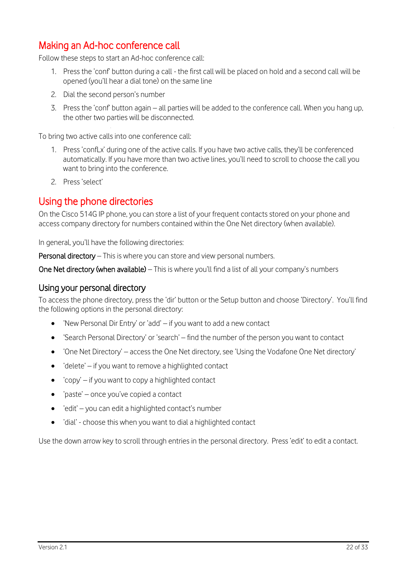# <span id="page-21-0"></span>Making an Ad-hoc conference call

Follow these steps to start an Ad-hoc conference call:

- 1. Press the 'conf' button during a call the first call will be placed on hold and a second call will be opened (you'll hear a dial tone) on the same line
- 2. Dial the second person's number
- 3. Press the 'conf' button again all parties will be added to the conference call. When you hang up, the other two parties will be disconnected.

To bring two active calls into one conference call:

- 1. Press 'confLx' during one of the active calls. If you have two active calls, they'll be conferenced automatically. If you have more than two active lines, you'll need to scroll to choose the call you want to bring into the conference.
- 2. Press 'select'

# <span id="page-21-1"></span>Using the phone directories

On the Cisco 514G IP phone, you can store a list of your frequent contacts stored on your phone and access company directory for numbers contained within the One Net directory (when available).

In general, you'll have the following directories:

Personal directory – This is where you can store and view personal numbers.

<span id="page-21-2"></span>One Net directory (when available) – This is where you'll find a list of all your company's numbers

#### Using your personal directory

To access the phone directory, press the 'dir' button or the Setup button and choose 'Directory'. You'll find the following options in the personal directory:

- 'New Personal Dir Entry' or 'add' if you want to add a new contact
- 'Search Personal Directory' or 'search' find the number of the person you want to contact
- 'One Net Directory' access the One Net directory, see 'Using the Vodafone One Net directory'
- 'delete' if you want to remove a highlighted contact
- 'copy' if you want to copy a highlighted contact
- 'paste' once you've copied a contact
- 'edit' you can edit a highlighted contact's number
- 'dial' choose this when you want to dial a highlighted contact

Use the down arrow key to scroll through entries in the personal directory. Press 'edit' to edit a contact.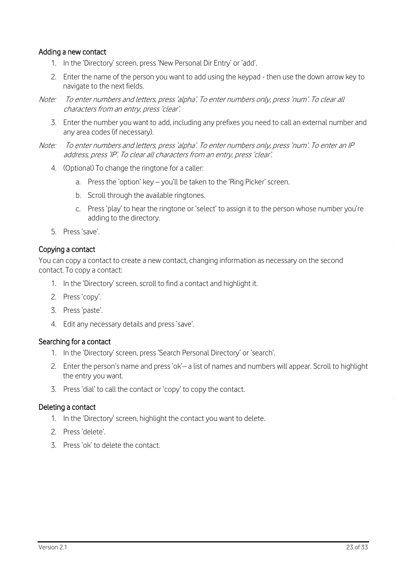#### Adding a new contact

- 1. In the 'Directory' screen, press 'New Personal Dir Entry' or 'add'.
- 2. Enter the name of the person you want to add using the keypad then use the down arrow key to navigate to the next fields.
- Note: To enter numbers and letters, press 'alpha'. To enter numbers only, press 'num'. To clear all characters from an entry, press 'clear'.
	- 3. Enter the number you want to add, including any prefixes you need to call an external number and any area codes (if necessary).
- Note: To enter numbers and letters, press 'alpha'. To enter numbers only, press 'num'. To enter an IP address, press 'IP'. To clear all characters from an entry, press 'clear'.
	- 4. (Optional) To change the ringtone for a caller:
		- a. Press the 'option' key you'll be taken to the 'Ring Picker' screen.
		- b. Scroll through the available ringtones.
		- c. Press 'play' to hear the ringtone or 'select' to assign it to the person whose number you're adding to the directory.
	- 5. Press 'save'.

#### Copying a contact

You can copy a contact to create a new contact, changing information as necessary on the second contact. To copy a contact:

- 1. In the 'Directory' screen, scroll to find a contact and highlight it.
- 2. Press 'copy'.
- 3. Press 'paste'.
- 4. Edit any necessary details and press 'save'.

#### Searching for a contact

- 1. In the 'Directory' screen, press 'Search Personal Directory' or 'search'.
- 2. Enter the person's name and press 'ok'– a list of names and numbers will appear. Scroll to highlight the entry you want.
- 3. Press 'dial' to call the contact or 'copy' to copy the contact.

#### Deleting a contact

- 1. In the 'Directory' screen, highlight the contact you want to delete.
- 2. Press 'delete'.
- 3. Press 'ok' to delete the contact.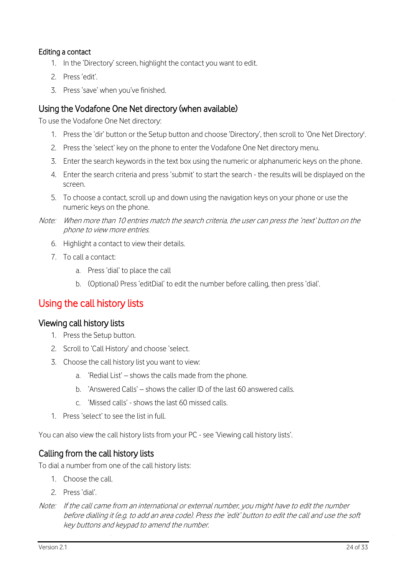#### Editing a contact

- 1. In the 'Directory' screen, highlight the contact you want to edit.
- 2. Press 'edit'.
- 3. Press 'save' when you've finished.

#### <span id="page-23-0"></span>Using the Vodafone One Net directory (when available)

To use the Vodafone One Net directory:

- 1. Press the 'dir' button or the Setup button and choose 'Directory', then scroll to 'One Net Directory'.
- 2. Press the 'select' key on the phone to enter the Vodafone One Net directory menu.
- 3. Enter the search keywords in the text box using the numeric or alphanumeric keys on the phone.
- 4. Enter the search criteria and press 'submit' to start the search the results will be displayed on the screen.
- 5. To choose a contact, scroll up and down using the navigation keys on your phone or use the numeric keys on the phone.
- Note: When more than 10 entries match the search criteria, the user can press the 'next' button on the phone to view more entries.
	- 6. Highlight a contact to view their details.
	- 7. To call a contact:
		- a. Press 'dial' to place the call
		- b. (Optional) Press 'editDial' to edit the number before calling, then press 'dial'.

# <span id="page-23-1"></span>Using the call history lists

#### <span id="page-23-2"></span>Viewing call history lists

- 1. Press the Setup button.
- 2. Scroll to 'Call History' and choose 'select.
- 3. Choose the call history list you want to view:
	- a. 'Redial List' shows the calls made from the phone.
	- b. 'Answered Calls' shows the caller ID of the last 60 answered calls.
	- c. 'Missed calls' shows the last 60 missed calls.
- 1. Press 'select' to see the list in full.

<span id="page-23-3"></span>You can also view the call history lists from your PC - see 'Viewing call history lists'.

#### Calling from the call history lists

To dial a number from one of the call history lists:

- 1. Choose the call.
- 2. Press 'dial'.
- Note: If the call came from an international or external number, you might have to edit the number before dialling it (e.g. to add an area code). Press the 'edit' button to edit the call and use the soft key buttons and keypad to amend the number.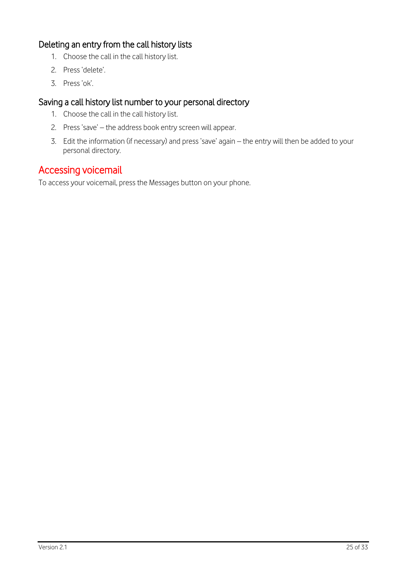# <span id="page-24-0"></span>Deleting an entry from the call history lists

- 1. Choose the call in the call history list.
- 2. Press 'delete'.
- 3. Press 'ok'.

## <span id="page-24-1"></span>Saving a call history list number to your personal directory

- 1. Choose the call in the call history list.
- 2. Press 'save' the address book entry screen will appear.
- 3. Edit the information (if necessary) and press 'save' again the entry will then be added to your personal directory.

# <span id="page-24-2"></span>Accessing voicemail

To access your voicemail, press the Messages button on your phone.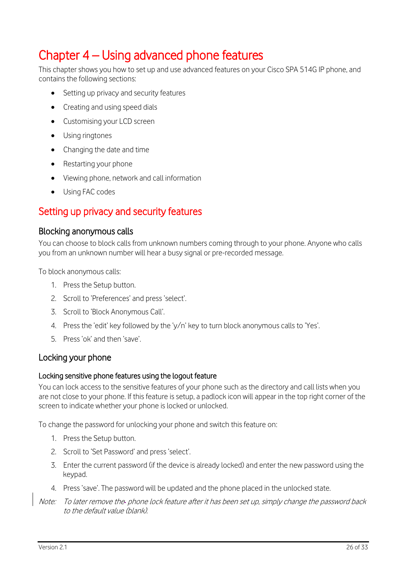# <span id="page-25-0"></span>Chapter 4 – Using advanced phone features

This chapter shows you how to set up and use advanced features on your Cisco SPA 514G IP phone, and contains the following sections:

- Setting up privacy and security features
- Creating and using speed dials
- Customising your LCD screen
- Using ringtones
- Changing the date and time
- Restarting your phone
- Viewing phone, network and call information
- Using FAC codes

# <span id="page-25-1"></span>Setting up privacy and security features

#### <span id="page-25-2"></span>Blocking anonymous calls

You can choose to block calls from unknown numbers coming through to your phone. Anyone who calls you from an unknown number will hear a busy signal or pre-recorded message.

To block anonymous calls:

- 1. Press the Setup button.
- 2. Scroll to 'Preferences' and press 'select'.
- 3. Scroll to 'Block Anonymous Call'.
- 4. Press the 'edit' key followed by the 'y/n' key to turn block anonymous calls to 'Yes'.
- 5. Press 'ok' and then 'save'.

#### <span id="page-25-3"></span>Locking your phone

#### Locking sensitive phone features using the logout feature

You can lock access to the sensitive features of your phone such as the directory and call lists when you are not close to your phone. If this feature is setup, a padlock icon will appear in the top right corner of the screen to indicate whether your phone is locked or unlocked.

To change the password for unlocking your phone and switch this feature on:

- 1. Press the Setup button.
- 2. Scroll to 'Set Password' and press 'select'.
- 3. Enter the current password (if the device is already locked) and enter the new password using the keypad.
- 4. Press 'save'. The password will be updated and the phone placed in the unlocked state.
- Note: To later remove the phone lock feature after it has been set up, simply change the password back to the default value (blank).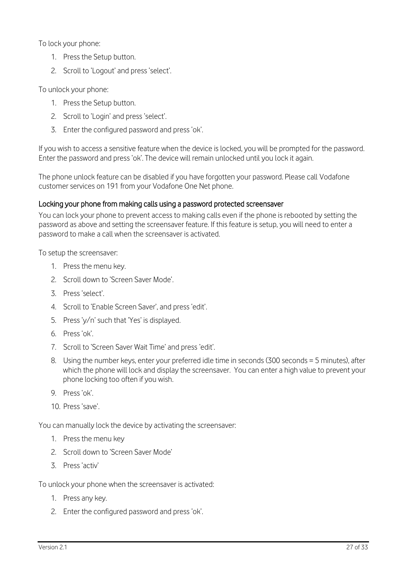To lock your phone:

- 1. Press the Setup button.
- 2. Scroll to 'Logout' and press 'select'.

To unlock your phone:

- 1. Press the Setup button.
- 2. Scroll to 'Login' and press 'select'.
- 3. Enter the configured password and press 'ok'.

If you wish to access a sensitive feature when the device is locked, you will be prompted for the password. Enter the password and press 'ok'. The device will remain unlocked until you lock it again.

The phone unlock feature can be disabled if you have forgotten your password. Please call Vodafone customer services on 191 from your Vodafone One Net phone.

#### Locking your phone from making calls using a password protected screensaver

You can lock your phone to prevent access to making calls even if the phone is rebooted by setting the password as above and setting the screensaver feature. If this feature is setup, you will need to enter a password to make a call when the screensaver is activated.

To setup the screensaver:

- 1. Press the menu key.
- 2. Scroll down to 'Screen Saver Mode'.
- 3. Press 'select'.
- 4. Scroll to 'Enable Screen Saver', and press 'edit'.
- 5. Press 'y/n' such that 'Yes' is displayed.
- 6. Press 'ok'.
- 7. Scroll to 'Screen Saver Wait Time' and press 'edit'.
- 8. Using the number keys, enter your preferred idle time in seconds (300 seconds = 5 minutes), after which the phone will lock and display the screensaver. You can enter a high value to prevent your phone locking too often if you wish.
- 9. Press 'ok'.
- 10. Press 'save'.

You can manually lock the device by activating the screensaver:

- 1. Press the menu key
- 2. Scroll down to 'Screen Saver Mode'
- 3. Press 'activ'

To unlock your phone when the screensaver is activated:

- 1. Press any key.
- 2. Enter the configured password and press 'ok'.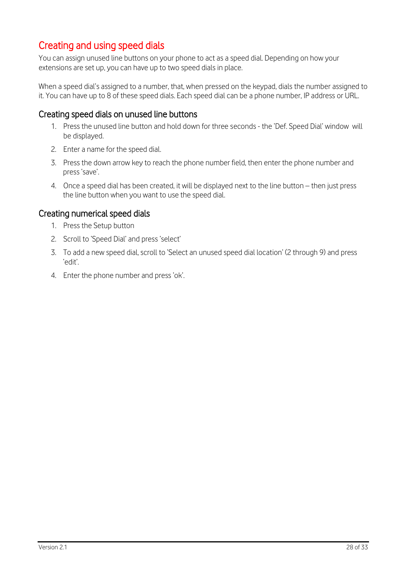# <span id="page-27-0"></span>Creating and using speed dials

You can assign unused line buttons on your phone to act as a speed dial. Depending on how your extensions are set up, you can have up to two speed dials in place.

When a speed dial's assigned to a number, that, when pressed on the keypad, dials the number assigned to it. You can have up to 8 of these speed dials. Each speed dial can be a phone number, IP address or URL.

#### <span id="page-27-1"></span>Creating speed dials on unused line buttons

- 1. Press the unused line button and hold down for three seconds the 'Def. Speed Dial' window will be displayed.
- 2. Enter a name for the speed dial.
- 3. Press the down arrow key to reach the phone number field, then enter the phone number and press 'save'.
- 4. Once a speed dial has been created, it will be displayed next to the line button then just press the line button when you want to use the speed dial.

#### <span id="page-27-2"></span>Creating numerical speed dials

- 1. Press the Setup button
- 2. Scroll to 'Speed Dial' and press 'select'
- 3. To add a new speed dial, scroll to 'Select an unused speed dial location' (2 through 9) and press 'edit'.
- 4. Enter the phone number and press 'ok'.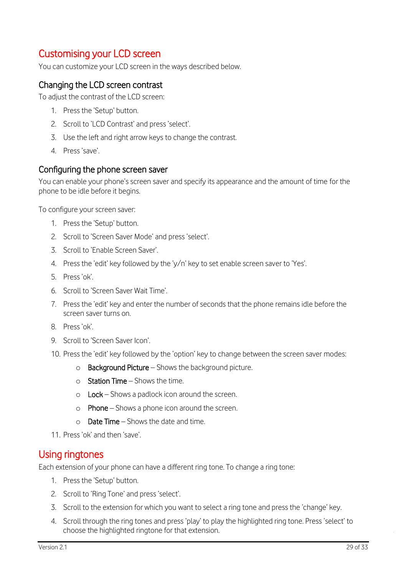# <span id="page-28-0"></span>Customising your LCD screen

You can customize your LCD screen in the ways described below.

#### <span id="page-28-1"></span>Changing the LCD screen contrast

To adjust the contrast of the LCD screen:

- 1. Press the 'Setup' button.
- 2. Scroll to 'LCD Contrast' and press 'select'.
- 3. Use the left and right arrow keys to change the contrast.
- 4. Press 'save'.

#### <span id="page-28-2"></span>Configuring the phone screen saver

You can enable your phone's screen saver and specify its appearance and the amount of time for the phone to be idle before it begins.

To configure your screen saver:

- 1. Press the 'Setup' button.
- 2. Scroll to 'Screen Saver Mode' and press 'select'.
- 3. Scroll to 'Enable Screen Saver'.
- 4. Press the 'edit' key followed by the 'y/n' key to set enable screen saver to 'Yes'.
- 5. Press 'ok'.
- 6. Scroll to 'Screen Saver Wait Time'.
- 7. Press the 'edit' key and enter the number of seconds that the phone remains idle before the screen saver turns on.
- 8. Press 'ok'.
- 9. Scroll to 'Screen Saver Icon'.
- 10. Press the 'edit' key followed by the 'option' key to change between the screen saver modes:
	- o Background Picture Shows the background picture.
	- $\circ$  Station Time Shows the time.
	- $\circ$  Lock Shows a padlock icon around the screen.
	- $\circ$  Phone Shows a phone icon around the screen.
	- $\circ$  **Date Time** Shows the date and time.
- 11. Press 'ok' and then 'save'.

## <span id="page-28-3"></span>Using ringtones

Each extension of your phone can have a different ring tone. To change a ring tone:

- 1. Press the 'Setup' button.
- 2. Scroll to 'Ring Tone' and press 'select'.
- 3. Scroll to the extension for which you want to select a ring tone and press the 'change' key.
- 4. Scroll through the ring tones and press 'play' to play the highlighted ring tone. Press 'select' to choose the highlighted ringtone for that extension.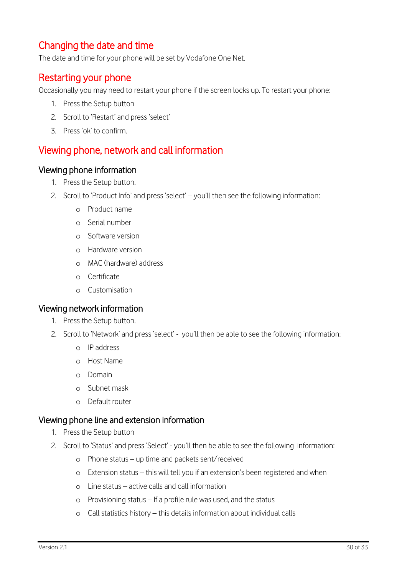# <span id="page-29-0"></span>Changing the date and time

<span id="page-29-1"></span>The date and time for your phone will be set by Vodafone One Net.

## Restarting your phone

Occasionally you may need to restart your phone if the screen locks up. To restart your phone:

- 1. Press the Setup button
- 2. Scroll to 'Restart' and press 'select'
- 3. Press 'ok' to confirm.

# <span id="page-29-2"></span>Viewing phone, network and call information

#### <span id="page-29-3"></span>Viewing phone information

- 1. Press the Setup button.
- 2. Scroll to 'Product Info' and press 'select' you'll then see the following information:
	- o Product name
	- o Serial number
	- o Software version
	- o Hardware version
	- o MAC (hardware) address
	- o Certificate
	- o Customisation

#### <span id="page-29-4"></span>Viewing network information

- 1. Press the Setup button.
- 2. Scroll to 'Network' and press 'select' you'll then be able to see the following information:
	- o IP address
	- o Host Name
	- o Domain
	- o Subnet mask
	- o Default router

#### <span id="page-29-5"></span>Viewing phone line and extension information

- 1. Press the Setup button
- 2. Scroll to 'Status' and press 'Select' you'll then be able to see the following information:
	- o Phone status up time and packets sent/received
	- o Extension status this will tell you if an extension's been registered and when
	- o Line status active calls and call information
	- o Provisioning status If a profile rule was used, and the status
	- o Call statistics history this details information about individual calls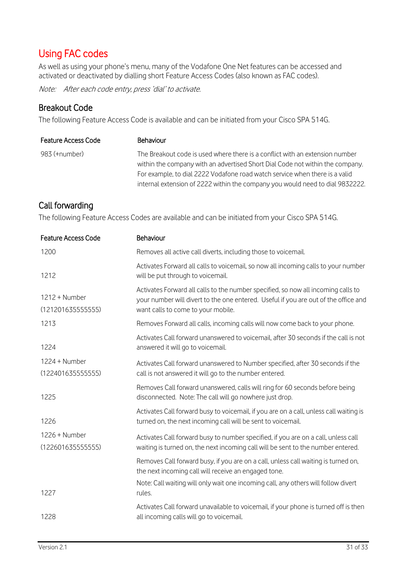# <span id="page-30-0"></span>Using FAC codes

As well as using your phone's menu, many of the Vodafone One Net features can be accessed and activated or deactivated by dialling short Feature Access Codes (also known as FAC codes).

Note: After each code entry, press 'dial' to activate.

#### <span id="page-30-1"></span>Breakout Code

The following Feature Access Code is available and can be initiated from your Cisco SPA 514G.

| <b>Feature Access Code</b> | <b>Behaviour</b>                                                                                                                                                                                                                                                                                                              |
|----------------------------|-------------------------------------------------------------------------------------------------------------------------------------------------------------------------------------------------------------------------------------------------------------------------------------------------------------------------------|
| 983 (+number)              | The Breakout code is used where there is a conflict with an extension number<br>within the company with an advertised Short Dial Code not within the company.<br>For example, to dial 2222 Vodafone road watch service when there is a valid<br>internal extension of 2222 within the company you would need to dial 9832222. |

### <span id="page-30-2"></span>Call forwarding

The following Feature Access Codes are available and can be initiated from your Cisco SPA 514G.

| <b>Feature Access Code</b>           | Behaviour                                                                                                                                                                                                      |
|--------------------------------------|----------------------------------------------------------------------------------------------------------------------------------------------------------------------------------------------------------------|
| 1200                                 | Removes all active call diverts, including those to voicemail.                                                                                                                                                 |
| 1212                                 | Activates Forward all calls to voicemail, so now all incoming calls to your number<br>will be put through to voicemail.                                                                                        |
| 1212 + Number<br>(121201635555555)   | Activates Forward all calls to the number specified, so now all incoming calls to<br>your number will divert to the one entered. Useful if you are out of the office and<br>want calls to come to your mobile. |
| 1213                                 | Removes Forward all calls, incoming calls will now come back to your phone.                                                                                                                                    |
| 1224                                 | Activates Call forward unanswered to voicemail, after 30 seconds if the call is not<br>answered it will go to voicemail.                                                                                       |
| 1224 + Number<br>(122401635555555)   | Activates Call forward unanswered to Number specified, after 30 seconds if the<br>call is not answered it will go to the number entered.                                                                       |
| 1225                                 | Removes Call forward unanswered, calls will ring for 60 seconds before being<br>disconnected. Note: The call will go nowhere just drop.                                                                        |
| 1226                                 | Activates Call forward busy to voicemail, if you are on a call, unless call waiting is<br>turned on, the next incoming call will be sent to voicemail.                                                         |
| $1226 +$ Number<br>(122601635555555) | Activates Call forward busy to number specified, if you are on a call, unless call<br>waiting is turned on, the next incoming call will be sent to the number entered.                                         |
|                                      | Removes Call forward busy, if you are on a call, unless call waiting is turned on,<br>the next incoming call will receive an engaged tone.                                                                     |
| 1227                                 | Note: Call waiting will only wait one incoming call, any others will follow divert<br>rules.                                                                                                                   |
| 1228                                 | Activates Call forward unavailable to voicemail, if your phone is turned off is then<br>all incoming calls will go to voicemail.                                                                               |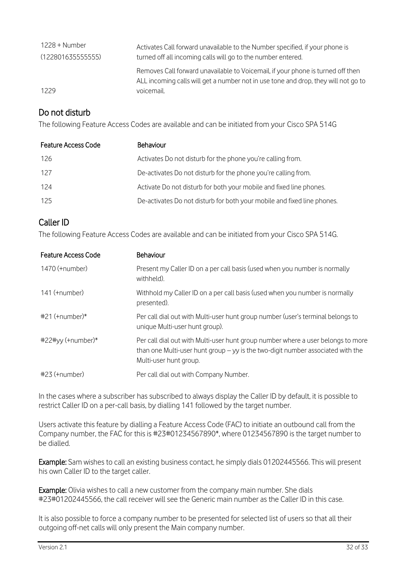| 1228 + Number     | Activates Call forward unavailable to the Number specified, if your phone is                                                                                                        |
|-------------------|-------------------------------------------------------------------------------------------------------------------------------------------------------------------------------------|
| (122801635555555) | turned off all incoming calls will go to the number entered.                                                                                                                        |
| 1229              | Removes Call forward unavailable to Voicemail, if your phone is turned off then<br>ALL incoming calls will get a number not in use tone and drop, they will not go to<br>voicemail. |

# <span id="page-31-0"></span>Do not disturb

The following Feature Access Codes are available and can be initiated from your Cisco SPA 514G

| <b>Feature Access Code</b> | <b>Behaviour</b>                                                        |
|----------------------------|-------------------------------------------------------------------------|
| -126                       | Activates Do not disturb for the phone you're calling from.             |
| 127                        | De-activates Do not disturb for the phone you're calling from.          |
| 124                        | Activate Do not disturb for both your mobile and fixed line phones.     |
| 125                        | De-activates Do not disturb for both your mobile and fixed line phones. |
|                            |                                                                         |

# <span id="page-31-1"></span>Caller ID

The following Feature Access Codes are available and can be initiated from your Cisco SPA 514G.

| <b>Feature Access Code</b> | Behaviour                                                                                                                                                                                       |
|----------------------------|-------------------------------------------------------------------------------------------------------------------------------------------------------------------------------------------------|
| 1470 (+number)             | Present my Caller ID on a per call basis (used when you number is normally<br>withheld).                                                                                                        |
| 141 (+number)              | Withhold my Caller ID on a per call basis (used when you number is normally<br>presented).                                                                                                      |
| $#21$ (+number) $*$        | Per call dial out with Multi-user hunt group number (user's terminal belongs to<br>unique Multi-user hunt group).                                                                               |
| $#22#yy$ (+number)*        | Per call dial out with Multi-user hunt group number where a user belongs to more<br>than one Multi-user hunt group $-$ yy is the two-digit number associated with the<br>Multi-user hunt group. |
| $#23$ (+number)            | Per call dial out with Company Number.                                                                                                                                                          |

In the cases where a subscriber has subscribed to always display the Caller ID by default, it is possible to restrict Caller ID on a per-call basis, by dialling 141 followed by the target number.

Users activate this feature by dialling a Feature Access Code (FAC) to initiate an outbound call from the Company number, the FAC for this is #23#01234567890\*, where 01234567890 is the target number to be dialled.

Example: Sam wishes to call an existing business contact, he simply dials 01202445566. This will present his own Caller ID to the target caller.

Example: Olivia wishes to call a new customer from the company main number. She dials #23#01202445566, the call receiver will see the Generic main number as the Caller ID in this case.

It is also possible to force a company number to be presented for selected list of users so that all their outgoing off-net calls will only present the Main company number.